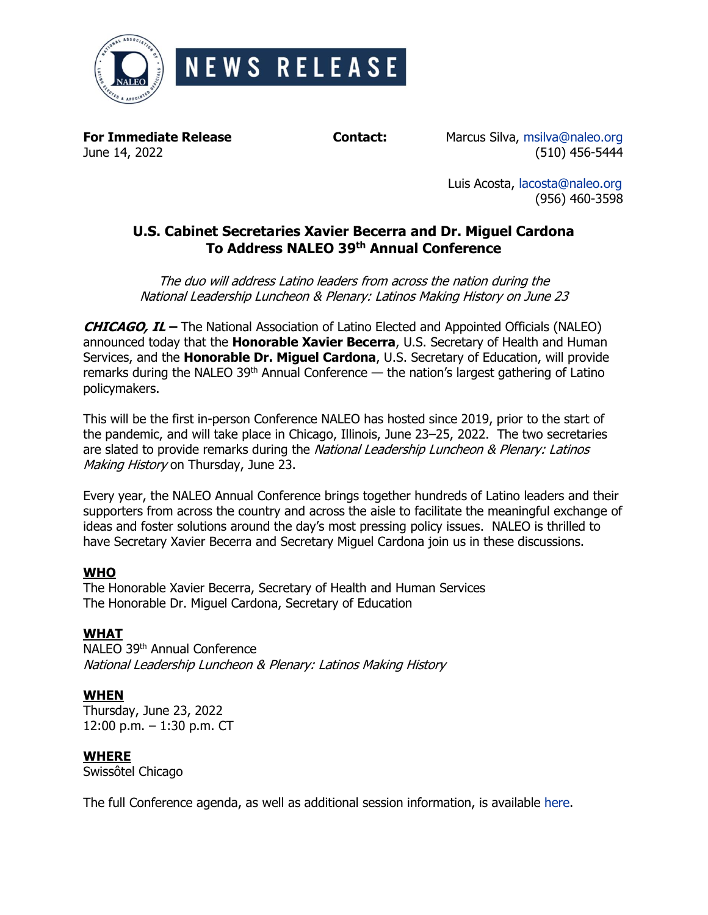

**For Immediate Release Contact:** Marcus Silva, [msilva@naleo.org](mailto:msilva@naleo.org) June 14, 2022 (510) 456-5444

> Luis Acosta, [lacosta@naleo.org](mailto:lacosta@naleo.org) (956) 460-3598

# **U.S. Cabinet Secretaries Xavier Becerra and Dr. Miguel Cardona To Address NALEO 39 th Annual Conference**

The duo will address Latino leaders from across the nation during the National Leadership Luncheon & Plenary: Latinos Making History on June 23

**CHICAGO, IL –** The National Association of Latino Elected and Appointed Officials (NALEO) announced today that the **Honorable Xavier Becerra**, U.S. Secretary of Health and Human Services, and the **Honorable Dr. Miguel Cardona**, U.S. Secretary of Education, will provide remarks during the NALEO 39<sup>th</sup> Annual Conference — the nation's largest gathering of Latino policymakers.

This will be the first in-person Conference NALEO has hosted since 2019, prior to the start of the pandemic, and will take place in Chicago, Illinois, June 23–25, 2022. The two secretaries are slated to provide remarks during the National Leadership Luncheon & Plenary: Latinos Making History on Thursday, June 23.

Every year, the NALEO Annual Conference brings together hundreds of Latino leaders and their supporters from across the country and across the aisle to facilitate the meaningful exchange of ideas and foster solutions around the day's most pressing policy issues. NALEO is thrilled to have Secretary Xavier Becerra and Secretary Miguel Cardona join us in these discussions.

#### **WHO**

The Honorable Xavier Becerra, Secretary of Health and Human Services The Honorable Dr. Miguel Cardona, Secretary of Education

## **WHAT**

NALEO 39<sup>th</sup> Annual Conference National Leadership Luncheon & Plenary: Latinos Making History

## **WHEN**

Thursday, June 23, 2022 12:00 p.m. – 1:30 p.m. CT

## **WHERE**

Swissôtel Chicago

The full Conference agenda, as well as additional session information, is available [here.](https://web.cvent.com/event/b0d22292-eb80-42fb-902c-82fe4f0541a4/websitePage:dfbf9afd-5bf1-4c86-b40f-9372bff2e3f5?RefId=naleo-chicago-2022)